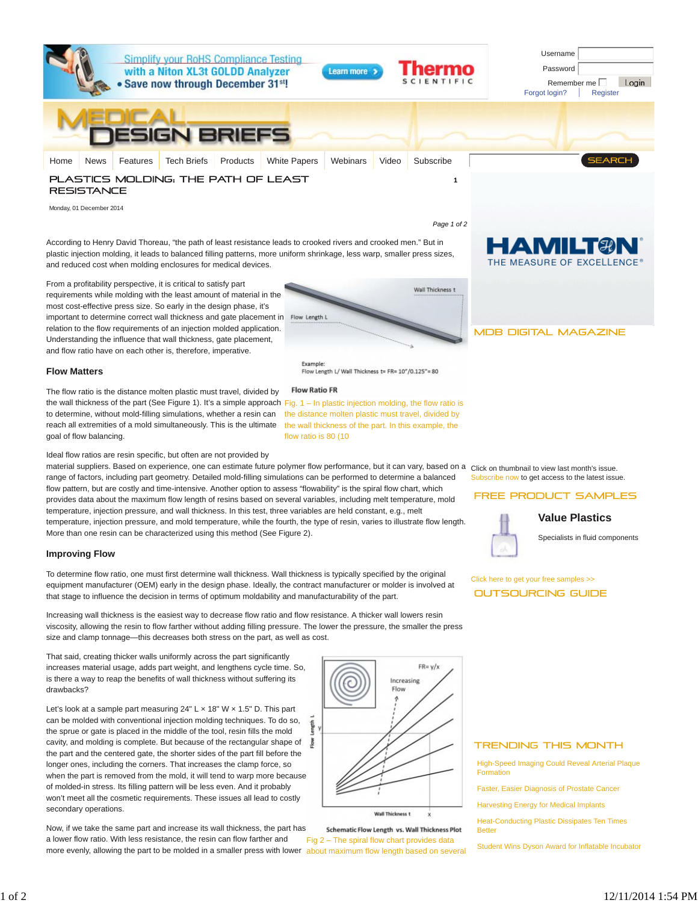

Monday, 01 December 2014

*Page 1 of 2*

According to Henry David Thoreau, "the path of least resistance leads to crooked rivers and crooked men." But in plastic injection molding, it leads to balanced filling patterns, more uniform shrinkage, less warp, smaller press sizes, and reduced cost when molding enclosures for medical devices.

HAMILT9 THE MEASURE OF EXCELLENCE



Flow Length L/ Wall Thickness t= FR= 10"/0.125"= 80

### **Flow Matters**

**Improving Flow**

the wall thickness of the part (See Figure 1). It's a simple approach Fig. 1 – In plastic injection molding, the flow ratio is to determine, without mold-filling simulations, whether a resin can the distance molten plastic must travel, divided by reach all extremities of a mold simultaneously. This is the ultimate the wall thickness of the part. In this example, the The flow ratio is the distance molten plastic must travel, divided by goal of flow balancing.

Ideal flow ratios are resin specific, but often are not provided by

From a profitability perspective, it is critical to satisfy part

most cost-effective press size. So early in the design phase, it's

Understanding the influence that wall thickness, gate placement, and flow ratio have on each other is, therefore, imperative.

material suppliers. Based on experience, one can estimate future polymer flow performance, but it can vary, based on a Click on thumbnail to view last month's issue. range of factors, including part geometry. Detailed mold-filling simulations can be performed to determine a balanced flow pattern, but are costly and time-intensive. Another option to assess "flowability" is the spiral flow chart, which provides data about the maximum flow length of resins based on several variables, including melt temperature, mold temperature, injection pressure, and wall thickness. In this test, three variables are held constant, e.g., melt temperature, injection pressure, and mold temperature, while the fourth, the type of resin, varies to illustrate flow length. More than one resin can be characterized using this method (See Figure 2).

To determine flow ratio, one must first determine wall thickness. Wall thickness is typically specified by the original equipment manufacturer (OEM) early in the design phase. Ideally, the contract manufacturer or molder is involved at

flow ratio is 80 (10

Example:

**Flow Ratio FR** 

Subscribe now to get access to the latest issue.

#### FREE PRODUCT SAMPLES



Specialists in fluid components

Click here to get your free samples >> **OUTSOURCING GUIDE** 

Increasing wall thickness is the easiest way to decrease flow ratio and flow resistance. A thicker wall lowers resin viscosity, allowing the resin to flow farther without adding filling pressure. The lower the pressure, the smaller the press size and clamp tonnage—this decreases both stress on the part, as well as cost.

that stage to influence the decision in terms of optimum moldability and manufacturability of the part.

That said, creating thicker walls uniformly across the part significantly increases material usage, adds part weight, and lengthens cycle time. So, is there a way to reap the benefits of wall thickness without suffering its drawbacks?

Let's look at a sample part measuring 24" L x 18" W x 1.5" D. This part can be molded with conventional injection molding techniques. To do so, the sprue or gate is placed in the middle of the tool, resin fills the mold cavity, and molding is complete. But because of the rectangular shape of  $\frac{3}{8}$ the part and the centered gate, the shorter sides of the part fill before the longer ones, including the corners. That increases the clamp force, so when the part is removed from the mold, it will tend to warp more because of molded-in stress. Its filling pattern will be less even. And it probably won't meet all the cosmetic requirements. These issues all lead to costly secondary operations.

more evenly, allowing the part to be molded in a smaller press with lower about maximum flow length based on several Now, if we take the same part and increase its wall thickness, the part has a lower flow ratio. With less resistance, the resin can flow farther and

 $FR = v/x$ Increasing Flow ţ Wall Thickness t

Schematic Flow Length vs. Wall Thickness Plot Fig 2 – The spiral flow chart provides data

#### **TRENDING THIS MONTH**

High-Speed Imaging Could Reveal Arterial Plaque Formation

Faster, Easier Diagnosis of Prostate Cancer

Harvesting Energy for Medical Implants

Heat-Conducting Plastic Dissipates Ten Times Better

Student Wins Dyson Award for Inflatable Incubator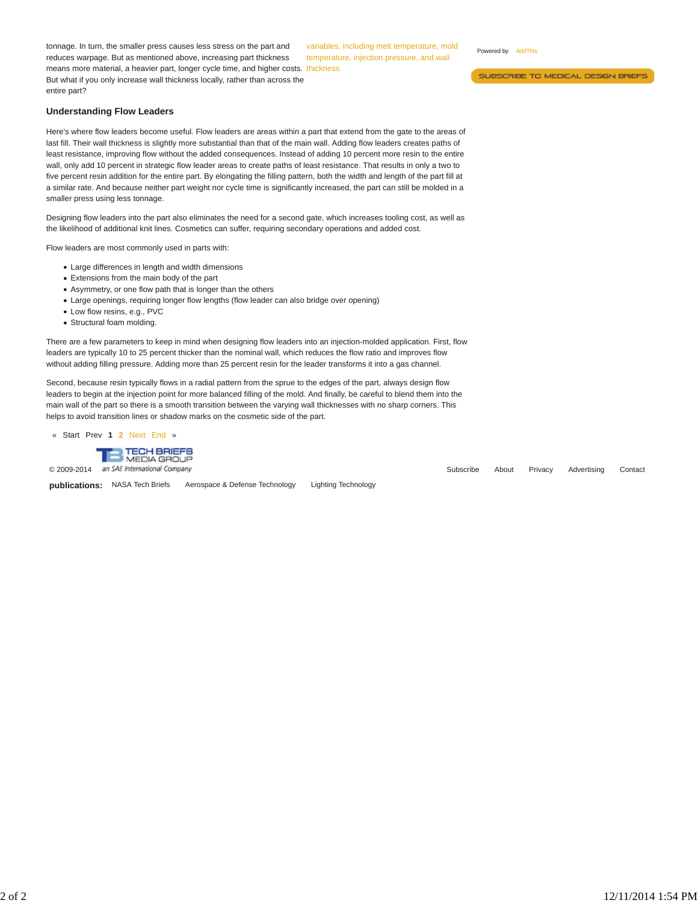means more material, a heavier part, longer cycle time, and higher costs. thickness. tonnage. In turn, the smaller press causes less stress on the part and reduces warpage. But as mentioned above, increasing part thickness But what if you only increase wall thickness locally, rather than across the entire part?

variables, including melt temperature, mold temperature, injection pressure, and wall

Powered by AddThis

SUBSCRIBE TO MEDICAL DESIGN BRIEFS

# **Understanding Flow Leaders**

Here's where flow leaders become useful. Flow leaders are areas within a part that extend from the gate to the areas of last fill. Their wall thickness is slightly more substantial than that of the main wall. Adding flow leaders creates paths of least resistance, improving flow without the added consequences. Instead of adding 10 percent more resin to the entire wall, only add 10 percent in strategic flow leader areas to create paths of least resistance. That results in only a two to five percent resin addition for the entire part. By elongating the filling pattern, both the width and length of the part fill at a similar rate. And because neither part weight nor cycle time is significantly increased, the part can still be molded in a smaller press using less tonnage.

Designing flow leaders into the part also eliminates the need for a second gate, which increases tooling cost, as well as the likelihood of additional knit lines. Cosmetics can suffer, requiring secondary operations and added cost.

Flow leaders are most commonly used in parts with:

- Large differences in length and width dimensions
- Extensions from the main body of the part
- Asymmetry, or one flow path that is longer than the others
- Large openings, requiring longer flow lengths (flow leader can also bridge over opening)
- Low flow resins, e.g., PVC
- Structural foam molding.

There are a few parameters to keep in mind when designing flow leaders into an injection-molded application. First, flow leaders are typically 10 to 25 percent thicker than the nominal wall, which reduces the flow ratio and improves flow without adding filling pressure. Adding more than 25 percent resin for the leader transforms it into a gas channel.

Second, because resin typically flows in a radial pattern from the sprue to the edges of the part, always design flow leaders to begin at the injection point for more balanced filling of the mold. And finally, be careful to blend them into the main wall of the part so there is a smooth transition between the varying wall thicknesses with no sharp corners. This helps to avoid transition lines or shadow marks on the cosmetic side of the part.

« Start Prev **1 2** Next End »



**publications:** NASA Tech Briefs Aerospace & Defense Technology Lighting Technology

© 2009-2014 an SAE International Company Contact Company Contact Company Contact Company Contact Company Contact Company Contact Company Contact Company Contact Company Contact Company Contact Company Contact Company Conta